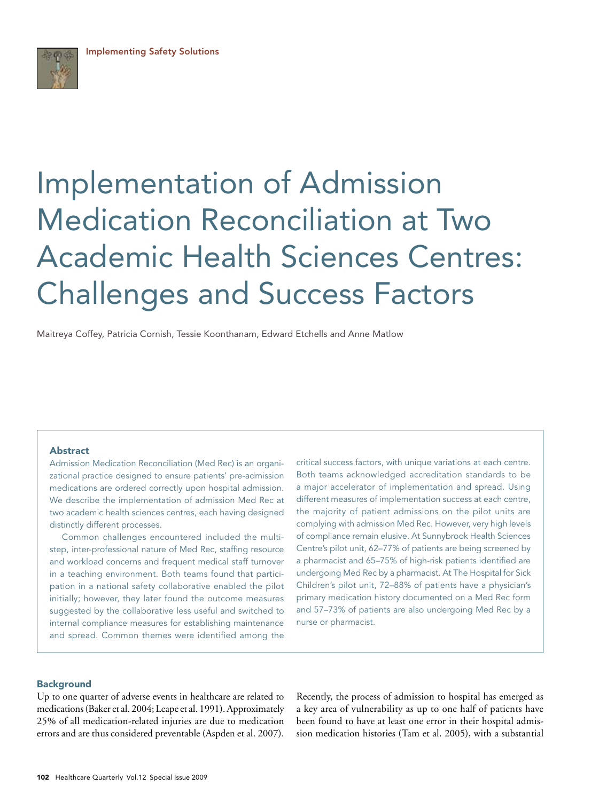

# Implementation of Admission Medication Reconciliation at Two Academic Health Sciences Centres: Challenges and Success Factors

Maitreya Coffey, Patricia Cornish, Tessie Koonthanam, Edward Etchells and Anne Matlow

## Abstract

Admission Medication Reconciliation (Med Rec) is an organizational practice designed to ensure patients' pre-admission medications are ordered correctly upon hospital admission. We describe the implementation of admission Med Rec at two academic health sciences centres, each having designed distinctly different processes.

Common challenges encountered included the multistep, inter-professional nature of Med Rec, staffing resource and workload concerns and frequent medical staff turnover in a teaching environment. Both teams found that participation in a national safety collaborative enabled the pilot initially; however, they later found the outcome measures suggested by the collaborative less useful and switched to internal compliance measures for establishing maintenance and spread. Common themes were identified among the

critical success factors, with unique variations at each centre. Both teams acknowledged accreditation standards to be a major accelerator of implementation and spread. Using different measures of implementation success at each centre, the majority of patient admissions on the pilot units are complying with admission Med Rec. However, very high levels of compliance remain elusive. At Sunnybrook Health Sciences Centre's pilot unit, 62–77% of patients are being screened by a pharmacist and 65–75% of high-risk patients identified are undergoing Med Rec by a pharmacist. At The Hospital for Sick Children's pilot unit, 72–88% of patients have a physician's primary medication history documented on a Med Rec form and 57–73% of patients are also undergoing Med Rec by a nurse or pharmacist.

#### **Background**

Up to one quarter of adverse events in healthcare are related to medications (Baker et al. 2004; Leape et al. 1991). Approximately 25% of all medication-related injuries are due to medication errors and are thus considered preventable (Aspden et al. 2007).

Recently, the process of admission to hospital has emerged as a key area of vulnerability as up to one half of patients have been found to have at least one error in their hospital admission medication histories (Tam et al. 2005), with a substantial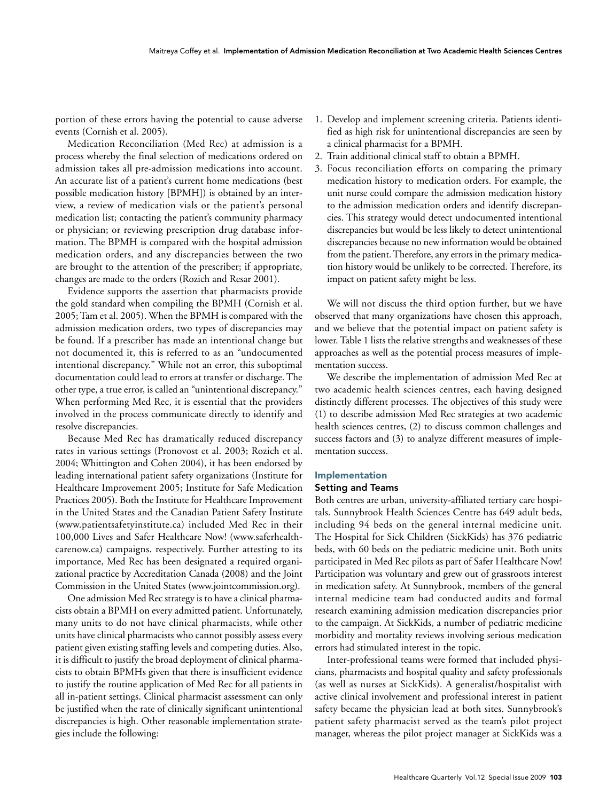portion of these errors having the potential to cause adverse events (Cornish et al. 2005).

Medication Reconciliation (Med Rec) at admission is a process whereby the final selection of medications ordered on admission takes all pre-admission medications into account. An accurate list of a patient's current home medications (best possible medication history [BPMH]) is obtained by an interview, a review of medication vials or the patient's personal medication list; contacting the patient's community pharmacy or physician; or reviewing prescription drug database information. The BPMH is compared with the hospital admission medication orders, and any discrepancies between the two are brought to the attention of the prescriber; if appropriate, changes are made to the orders (Rozich and Resar 2001).

Evidence supports the assertion that pharmacists provide the gold standard when compiling the BPMH (Cornish et al. 2005; Tam et al. 2005). When the BPMH is compared with the admission medication orders, two types of discrepancies may be found. If a prescriber has made an intentional change but not documented it, this is referred to as an "undocumented intentional discrepancy." While not an error, this suboptimal documentation could lead to errors at transfer or discharge. The other type, a true error, is called an "unintentional discrepancy." When performing Med Rec, it is essential that the providers involved in the process communicate directly to identify and resolve discrepancies.

Because Med Rec has dramatically reduced discrepancy rates in various settings (Pronovost et al. 2003; Rozich et al. 2004; Whittington and Cohen 2004), it has been endorsed by leading international patient safety organizations (Institute for Healthcare Improvement 2005; Institute for Safe Medication Practices 2005). Both the Institute for Healthcare Improvement in the United States and the Canadian Patient Safety Institute (www.patientsafetyinstitute.ca) included Med Rec in their 100,000 Lives and Safer Healthcare Now! (www.saferhealthcarenow.ca) campaigns, respectively. Further attesting to its importance, Med Rec has been designated a required organizational practice by Accreditation Canada (2008) and the Joint Commission in the United States (www.jointcommission.org).

One admission Med Rec strategy is to have a clinical pharmacists obtain a BPMH on every admitted patient. Unfortunately, many units to do not have clinical pharmacists, while other units have clinical pharmacists who cannot possibly assess every patient given existing staffing levels and competing duties. Also, it is difficult to justify the broad deployment of clinical pharmacists to obtain BPMHs given that there is insufficient evidence to justify the routine application of Med Rec for all patients in all in-patient settings. Clinical pharmacist assessment can only be justified when the rate of clinically significant unintentional discrepancies is high. Other reasonable implementation strategies include the following:

- 1. Develop and implement screening criteria. Patients identified as high risk for unintentional discrepancies are seen by a clinical pharmacist for a BPMH.
- 2. Train additional clinical staff to obtain a BPMH.
- 3. Focus reconciliation efforts on comparing the primary medication history to medication orders. For example, the unit nurse could compare the admission medication history to the admission medication orders and identify discrepancies. This strategy would detect undocumented intentional discrepancies but would be less likely to detect unintentional discrepancies because no new information would be obtained from the patient. Therefore, any errors in the primary medication history would be unlikely to be corrected. Therefore, its impact on patient safety might be less.

We will not discuss the third option further, but we have observed that many organizations have chosen this approach, and we believe that the potential impact on patient safety is lower. Table 1 lists the relative strengths and weaknesses of these approaches as well as the potential process measures of implementation success.

We describe the implementation of admission Med Rec at two academic health sciences centres, each having designed distinctly different processes. The objectives of this study were (1) to describe admission Med Rec strategies at two academic health sciences centres, (2) to discuss common challenges and success factors and (3) to analyze different measures of implementation success.

#### Implementation

### Setting and Teams

Both centres are urban, university-affiliated tertiary care hospitals. Sunnybrook Health Sciences Centre has 649 adult beds, including 94 beds on the general internal medicine unit. The Hospital for Sick Children (SickKids) has 376 pediatric beds, with 60 beds on the pediatric medicine unit. Both units participated in Med Rec pilots as part of Safer Healthcare Now! Participation was voluntary and grew out of grassroots interest in medication safety. At Sunnybrook, members of the general internal medicine team had conducted audits and formal research examining admission medication discrepancies prior to the campaign. At SickKids, a number of pediatric medicine morbidity and mortality reviews involving serious medication errors had stimulated interest in the topic.

Inter-professional teams were formed that included physicians, pharmacists and hospital quality and safety professionals (as well as nurses at SickKids). A generalist/hospitalist with active clinical involvement and professional interest in patient safety became the physician lead at both sites. Sunnybrook's patient safety pharmacist served as the team's pilot project manager, whereas the pilot project manager at SickKids was a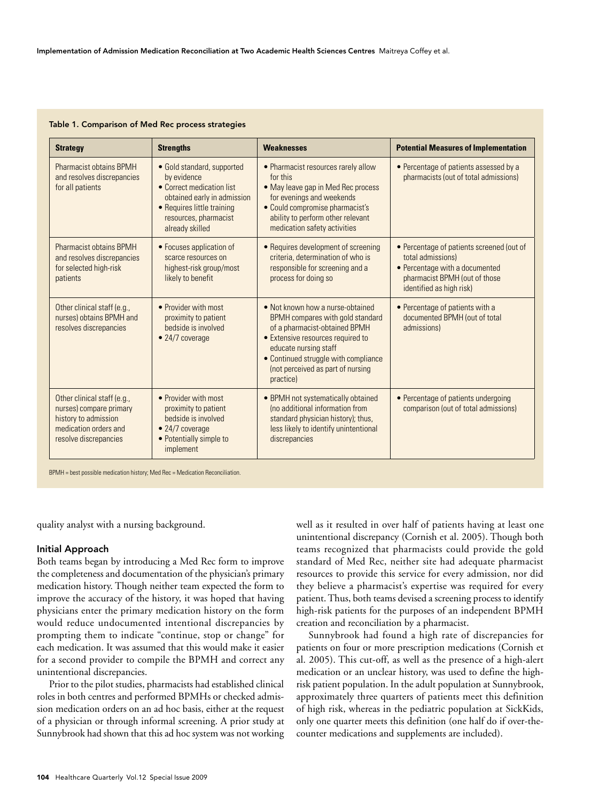| <b>Strategy</b>                                                                                                                  | <b>Strengths</b>                                                                                                                                                                | <b>Weaknesses</b>                                                                                                                                                                                                                                             | <b>Potential Measures of Implementation</b>                                                                                                                   |
|----------------------------------------------------------------------------------------------------------------------------------|---------------------------------------------------------------------------------------------------------------------------------------------------------------------------------|---------------------------------------------------------------------------------------------------------------------------------------------------------------------------------------------------------------------------------------------------------------|---------------------------------------------------------------------------------------------------------------------------------------------------------------|
| <b>Pharmacist obtains BPMH</b><br>and resolves discrepancies<br>for all patients                                                 | • Gold standard, supported<br>by evidence<br>• Correct medication list<br>obtained early in admission<br>• Requires little training<br>resources, pharmacist<br>already skilled | • Pharmacist resources rarely allow<br>for this<br>• May leave gap in Med Rec process<br>for evenings and weekends<br>• Could compromise pharmacist's<br>ability to perform other relevant<br>medication safety activities                                    | • Percentage of patients assessed by a<br>pharmacists (out of total admissions)                                                                               |
| <b>Pharmacist obtains BPMH</b><br>and resolves discrepancies<br>for selected high-risk<br>patients                               | • Focuses application of<br>scarce resources on<br>highest-risk group/most<br>likely to benefit                                                                                 | • Requires development of screening<br>criteria, determination of who is<br>responsible for screening and a<br>process for doing so                                                                                                                           | • Percentage of patients screened (out of<br>total admissions)<br>• Percentage with a documented<br>pharmacist BPMH (out of those<br>identified as high risk) |
| Other clinical staff (e.g.,<br>nurses) obtains BPMH and<br>resolves discrepancies                                                | • Provider with most<br>proximity to patient<br>bedside is involved<br>$\bullet$ 24/7 coverage                                                                                  | • Not known how a nurse-obtained<br>BPMH compares with gold standard<br>of a pharmacist-obtained BPMH<br>• Extensive resources required to<br>educate nursing staff<br>• Continued struggle with compliance<br>(not perceived as part of nursing<br>practice) | • Percentage of patients with a<br>documented BPMH (out of total<br>admissions)                                                                               |
| Other clinical staff (e.g.,<br>nurses) compare primary<br>history to admission<br>medication orders and<br>resolve discrepancies | • Provider with most<br>proximity to patient<br>bedside is involved<br>$\bullet$ 24/7 coverage<br>• Potentially simple to<br>implement                                          | • BPMH not systematically obtained<br>Ino additional information from<br>standard physician history); thus,<br>less likely to identify unintentional<br>discrepancies                                                                                         | • Percentage of patients undergoing<br>comparison (out of total admissions)                                                                                   |

#### Table 1. Comparison of Med Rec process strategies

BPMH = best possible medication history; Med Rec = Medication Reconciliation.

quality analyst with a nursing background.

### Initial Approach

Both teams began by introducing a Med Rec form to improve the completeness and documentation of the physician's primary medication history. Though neither team expected the form to improve the accuracy of the history, it was hoped that having physicians enter the primary medication history on the form would reduce undocumented intentional discrepancies by prompting them to indicate "continue, stop or change" for each medication. It was assumed that this would make it easier for a second provider to compile the BPMH and correct any unintentional discrepancies.

Prior to the pilot studies, pharmacists had established clinical roles in both centres and performed BPMHs or checked admission medication orders on an ad hoc basis, either at the request of a physician or through informal screening. A prior study at Sunnybrook had shown that this ad hoc system was not working

well as it resulted in over half of patients having at least one unintentional discrepancy (Cornish et al. 2005). Though both teams recognized that pharmacists could provide the gold standard of Med Rec, neither site had adequate pharmacist resources to provide this service for every admission, nor did they believe a pharmacist's expertise was required for every patient. Thus, both teams devised a screening process to identify high-risk patients for the purposes of an independent BPMH creation and reconciliation by a pharmacist.

Sunnybrook had found a high rate of discrepancies for patients on four or more prescription medications (Cornish et al. 2005). This cut-off, as well as the presence of a high-alert medication or an unclear history, was used to define the highrisk patient population. In the adult population at Sunnybrook, approximately three quarters of patients meet this definition of high risk, whereas in the pediatric population at SickKids, only one quarter meets this definition (one half do if over-thecounter medications and supplements are included).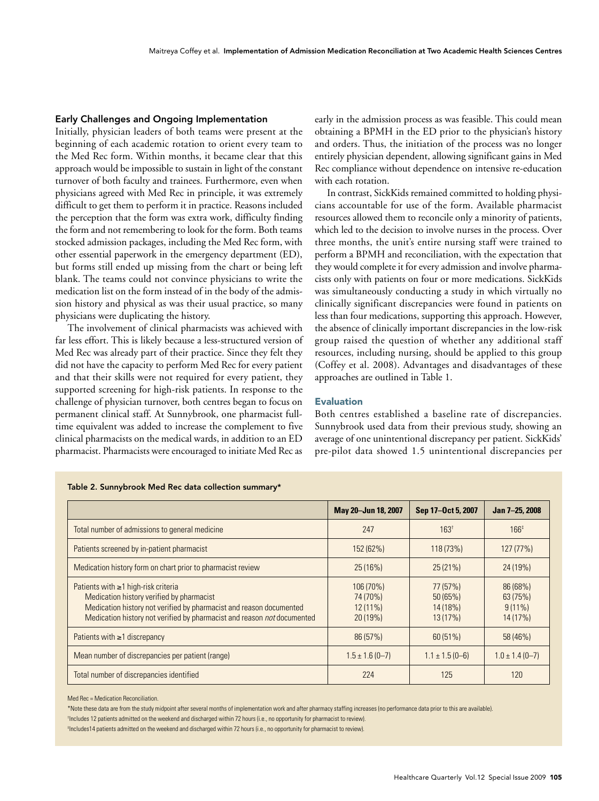## Early Challenges and Ongoing Implementation

Initially, physician leaders of both teams were present at the beginning of each academic rotation to orient every team to the Med Rec form. Within months, it became clear that this approach would be impossible to sustain in light of the constant turnover of both faculty and trainees. Furthermore, even when physicians agreed with Med Rec in principle, it was extremely difficult to get them to perform it in practice. Reasons included the perception that the form was extra work, difficulty finding the form and not remembering to look for the form. Both teams stocked admission packages, including the Med Rec form, with other essential paperwork in the emergency department (ED), but forms still ended up missing from the chart or being left blank. The teams could not convince physicians to write the medication list on the form instead of in the body of the admission history and physical as was their usual practice, so many physicians were duplicating the history.

The involvement of clinical pharmacists was achieved with far less effort. This is likely because a less-structured version of Med Rec was already part of their practice. Since they felt they did not have the capacity to perform Med Rec for every patient and that their skills were not required for every patient, they supported screening for high-risk patients. In response to the challenge of physician turnover, both centres began to focus on permanent clinical staff. At Sunnybrook, one pharmacist fulltime equivalent was added to increase the complement to five clinical pharmacists on the medical wards, in addition to an ED pharmacist. Pharmacists were encouraged to initiate Med Rec as

early in the admission process as was feasible. This could mean obtaining a BPMH in the ED prior to the physician's history and orders. Thus, the initiation of the process was no longer entirely physician dependent, allowing significant gains in Med Rec compliance without dependence on intensive re-education with each rotation.

In contrast, SickKids remained committed to holding physicians accountable for use of the form. Available pharmacist resources allowed them to reconcile only a minority of patients, which led to the decision to involve nurses in the process. Over three months, the unit's entire nursing staff were trained to perform a BPMH and reconciliation, with the expectation that they would complete it for every admission and involve pharmacists only with patients on four or more medications. SickKids was simultaneously conducting a study in which virtually no clinically significant discrepancies were found in patients on less than four medications, supporting this approach. However, the absence of clinically important discrepancies in the low-risk group raised the question of whether any additional staff resources, including nursing, should be applied to this group (Coffey et al. 2008). Advantages and disadvantages of these approaches are outlined in Table 1.

#### Evaluation

Both centres established a baseline rate of discrepancies. Sunnybrook used data from their previous study, showing an average of one unintentional discrepancy per patient. SickKids' pre-pilot data showed 1.5 unintentional discrepancies per

|                                                                                                                                                                                                                                          | May 20-Jun 18, 2007                            | Sep 17-Oct 5, 2007                       | Jan 7-25, 2008                               |  |  |
|------------------------------------------------------------------------------------------------------------------------------------------------------------------------------------------------------------------------------------------|------------------------------------------------|------------------------------------------|----------------------------------------------|--|--|
| Total number of admissions to general medicine                                                                                                                                                                                           | 247                                            | 163 <sup>†</sup>                         | $166*$                                       |  |  |
| Patients screened by in-patient pharmacist                                                                                                                                                                                               | 152 (62%)                                      | 118 (73%)                                | 127(77%)                                     |  |  |
| Medication history form on chart prior to pharmacist review                                                                                                                                                                              | 25(16%)                                        | 25(21%)                                  | 24(19%)                                      |  |  |
| Patients with $\geq 1$ high-risk criteria<br>Medication history verified by pharmacist<br>Medication history not verified by pharmacist and reason documented<br>Medication history not verified by pharmacist and reason not documented | 106 (70%)<br>74 (70%)<br>$12(11\%)$<br>20(19%) | 77(57%)<br>50(65%)<br>14(18%)<br>13(17%) | 86 (68%)<br>63 (75%)<br>$9(11\%)$<br>14(17%) |  |  |
| Patients with $\geq 1$ discrepancy                                                                                                                                                                                                       | 86 (57%)                                       | 60(51%)                                  | 58 (46%)                                     |  |  |
| Mean number of discrepancies per patient (range)                                                                                                                                                                                         | $1.5 \pm 1.6(0 - 7)$                           | $1.1 \pm 1.5(0-6)$                       | $1.0 \pm 1.4(0 - 7)$                         |  |  |
| Total number of discrepancies identified                                                                                                                                                                                                 | 224                                            | 125                                      | 120                                          |  |  |

Table 2. Sunnybrook Med Rec data collection summary\*

Med Rec = Medication Reconciliation.

\*Note these data are from the study midpoint after several months of implementation work and after pharmacy staffing increases (no performance data prior to this are available).

† Includes 12 patients admitted on the weekend and discharged within 72 hours (i.e., no opportunity for pharmacist to review).

‡ Includes14 patients admitted on the weekend and discharged within 72 hours (i.e., no opportunity for pharmacist to review).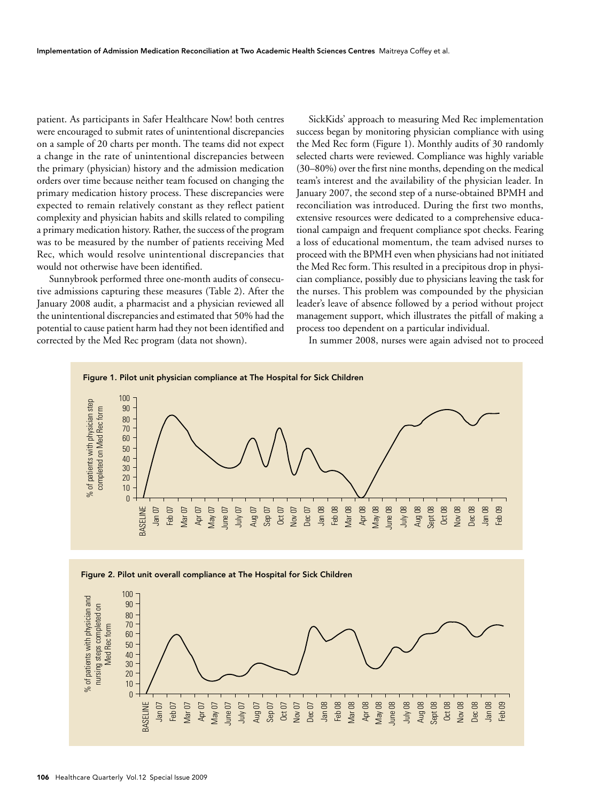patient. As participants in Safer Healthcare Now! both centres were encouraged to submit rates of unintentional discrepancies on a sample of 20 charts per month. The teams did not expect a change in the rate of unintentional discrepancies between the primary (physician) history and the admission medication orders over time because neither team focused on changing the primary medication history process. These discrepancies were expected to remain relatively constant as they reflect patient complexity and physician habits and skills related to compiling a primary medication history. Rather, the success of the program was to be measured by the number of patients receiving Med Rec, which would resolve unintentional discrepancies that would not otherwise have been identified.

Sunnybrook performed three one-month audits of consecutive admissions capturing these measures (Table 2). After the January 2008 audit, a pharmacist and a physician reviewed all the unintentional discrepancies and estimated that 50% had the potential to cause patient harm had they not been identified and corrected by the Med Rec program (data not shown).

SickKids' approach to measuring Med Rec implementation success began by monitoring physician compliance with using the Med Rec form (Figure 1). Monthly audits of 30 randomly selected charts were reviewed. Compliance was highly variable (30–80%) over the first nine months, depending on the medical team's interest and the availability of the physician leader. In January 2007, the second step of a nurse-obtained BPMH and reconciliation was introduced. During the first two months, extensive resources were dedicated to a comprehensive educational campaign and frequent compliance spot checks. Fearing a loss of educational momentum, the team advised nurses to proceed with the BPMH even when physicians had not initiated the Med Rec form. This resulted in a precipitous drop in physician compliance, possibly due to physicians leaving the task for the nurses. This problem was compounded by the physician leader's leave of absence followed by a period without project management support, which illustrates the pitfall of making a process too dependent on a particular individual.

In summer 2008, nurses were again advised not to proceed

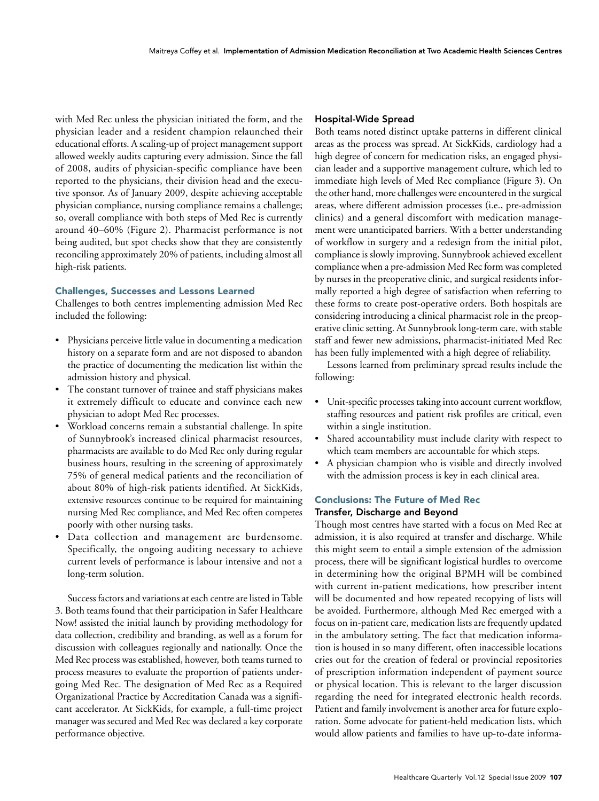with Med Rec unless the physician initiated the form, and the physician leader and a resident champion relaunched their educational efforts. A scaling-up of project management support allowed weekly audits capturing every admission. Since the fall of 2008, audits of physician-specific compliance have been reported to the physicians, their division head and the executive sponsor. As of January 2009, despite achieving acceptable physician compliance, nursing compliance remains a challenge; so, overall compliance with both steps of Med Rec is currently around 40–60% (Figure 2). Pharmacist performance is not being audited, but spot checks show that they are consistently reconciling approximately 20% of patients, including almost all high-risk patients.

#### Challenges, Successes and Lessons Learned

Challenges to both centres implementing admission Med Rec included the following:

- Physicians perceive little value in documenting a medication history on a separate form and are not disposed to abandon the practice of documenting the medication list within the admission history and physical.
- • The constant turnover of trainee and staff physicians makes it extremely difficult to educate and convince each new physician to adopt Med Rec processes.
- Workload concerns remain a substantial challenge. In spite of Sunnybrook's increased clinical pharmacist resources, pharmacists are available to do Med Rec only during regular business hours, resulting in the screening of approximately 75% of general medical patients and the reconciliation of about 80% of high-risk patients identified. At SickKids, extensive resources continue to be required for maintaining nursing Med Rec compliance, and Med Rec often competes poorly with other nursing tasks.
- Data collection and management are burdensome. Specifically, the ongoing auditing necessary to achieve current levels of performance is labour intensive and not a long-term solution.

Success factors and variations at each centre are listed in Table 3. Both teams found that their participation in Safer Healthcare Now! assisted the initial launch by providing methodology for data collection, credibility and branding, as well as a forum for discussion with colleagues regionally and nationally. Once the Med Rec process was established, however, both teams turned to process measures to evaluate the proportion of patients undergoing Med Rec. The designation of Med Rec as a Required Organizational Practice by Accreditation Canada was a significant accelerator. At SickKids, for example, a full-time project manager was secured and Med Rec was declared a key corporate performance objective.

#### Hospital-Wide Spread

Both teams noted distinct uptake patterns in different clinical areas as the process was spread. At SickKids, cardiology had a high degree of concern for medication risks, an engaged physician leader and a supportive management culture, which led to immediate high levels of Med Rec compliance (Figure 3). On the other hand, more challenges were encountered in the surgical areas, where different admission processes (i.e., pre-admission clinics) and a general discomfort with medication management were unanticipated barriers. With a better understanding of workflow in surgery and a redesign from the initial pilot, compliance is slowly improving. Sunnybrook achieved excellent compliance when a pre-admission Med Rec form was completed by nurses in the preoperative clinic, and surgical residents informally reported a high degree of satisfaction when referring to these forms to create post-operative orders. Both hospitals are considering introducing a clinical pharmacist role in the preoperative clinic setting. At Sunnybrook long-term care, with stable staff and fewer new admissions, pharmacist-initiated Med Rec has been fully implemented with a high degree of reliability.

Lessons learned from preliminary spread results include the following:

- • Unit-specific processes taking into account current workflow, staffing resources and patient risk profiles are critical, even within a single institution.
- Shared accountability must include clarity with respect to which team members are accountable for which steps.
- • A physician champion who is visible and directly involved with the admission process is key in each clinical area.

# Conclusions: The Future of Med Rec Transfer, Discharge and Beyond

Though most centres have started with a focus on Med Rec at admission, it is also required at transfer and discharge. While this might seem to entail a simple extension of the admission process, there will be significant logistical hurdles to overcome in determining how the original BPMH will be combined with current in-patient medications, how prescriber intent will be documented and how repeated recopying of lists will be avoided. Furthermore, although Med Rec emerged with a focus on in-patient care, medication lists are frequently updated in the ambulatory setting. The fact that medication information is housed in so many different, often inaccessible locations cries out for the creation of federal or provincial repositories of prescription information independent of payment source or physical location. This is relevant to the larger discussion regarding the need for integrated electronic health records. Patient and family involvement is another area for future exploration. Some advocate for patient-held medication lists, which would allow patients and families to have up-to-date informa-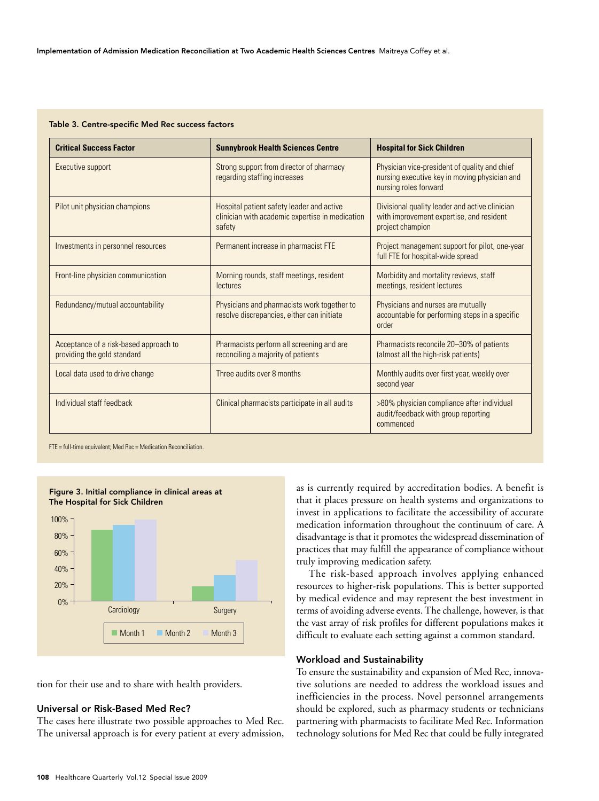#### Table 3. Centre-specific Med Rec success factors

| <b>Critical Success Factor</b>                                        | <b>Sunnybrook Health Sciences Centre</b>                                                               | <b>Hospital for Sick Children</b>                                                                                       |  |
|-----------------------------------------------------------------------|--------------------------------------------------------------------------------------------------------|-------------------------------------------------------------------------------------------------------------------------|--|
| Executive support                                                     | Strong support from director of pharmacy<br>regarding staffing increases                               | Physician vice-president of quality and chief<br>nursing executive key in moving physician and<br>nursing roles forward |  |
| Pilot unit physician champions                                        | Hospital patient safety leader and active<br>clinician with academic expertise in medication<br>safety | Divisional quality leader and active clinician<br>with improvement expertise, and resident<br>project champion          |  |
| Investments in personnel resources                                    | Permanent increase in pharmacist FTE                                                                   | Project management support for pilot, one-year<br>full FTE for hospital-wide spread                                     |  |
| Front-line physician communication                                    | Morning rounds, staff meetings, resident<br><i>lectures</i>                                            | Morbidity and mortality reviews, staff<br>meetings, resident lectures                                                   |  |
| Redundancy/mutual accountability                                      | Physicians and pharmacists work together to<br>resolve discrepancies, either can initiate              | Physicians and nurses are mutually<br>accountable for performing steps in a specific<br>order                           |  |
| Acceptance of a risk-based approach to<br>providing the gold standard | Pharmacists perform all screening and are<br>reconciling a majority of patients                        | Pharmacists reconcile 20-30% of patients<br>(almost all the high-risk patients)                                         |  |
| Local data used to drive change                                       | Three audits over 8 months                                                                             | Monthly audits over first year, weekly over<br>second year                                                              |  |
| Individual staff feedback                                             | Clinical pharmacists participate in all audits                                                         | >80% physician compliance after individual<br>audit/feedback with group reporting<br>commenced                          |  |

FTE = full-time equivalent; Med Rec = Medication Reconciliation.



tion for their use and to share with health providers.

## Universal or Risk-Based Med Rec?

The cases here illustrate two possible approaches to Med Rec. The universal approach is for every patient at every admission,

as is currently required by accreditation bodies. A benefit is that it places pressure on health systems and organizations to invest in applications to facilitate the accessibility of accurate medication information throughout the continuum of care. A disadvantage is that it promotes the widespread dissemination of practices that may fulfill the appearance of compliance without truly improving medication safety.

The risk-based approach involves applying enhanced resources to higher-risk populations. This is better supported by medical evidence and may represent the best investment in terms of avoiding adverse events. The challenge, however, is that the vast array of risk profiles for different populations makes it difficult to evaluate each setting against a common standard.

## Workload and Sustainability

To ensure the sustainability and expansion of Med Rec, innovative solutions are needed to address the workload issues and inefficiencies in the process. Novel personnel arrangements should be explored, such as pharmacy students or technicians partnering with pharmacists to facilitate Med Rec. Information technology solutions for Med Rec that could be fully integrated